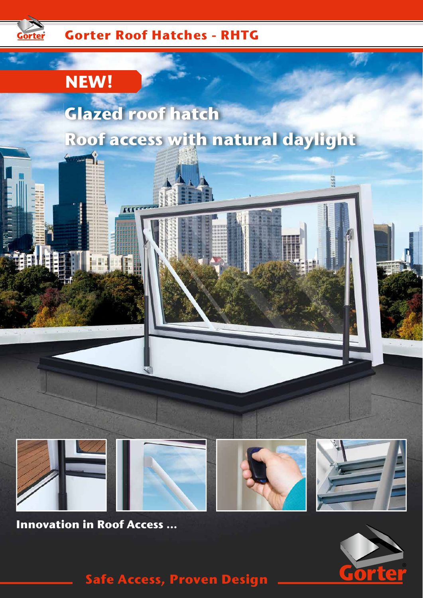

## **Gorter Roof Hatches - RHTG**

**IIIL** 

## **NEW!**

# **Glazed roof hatch Roof access with natural daylight**



**Innovation in Roof Access ...**



 $\mathcal{F}$ 

HH

**Safe Access, Proven Design**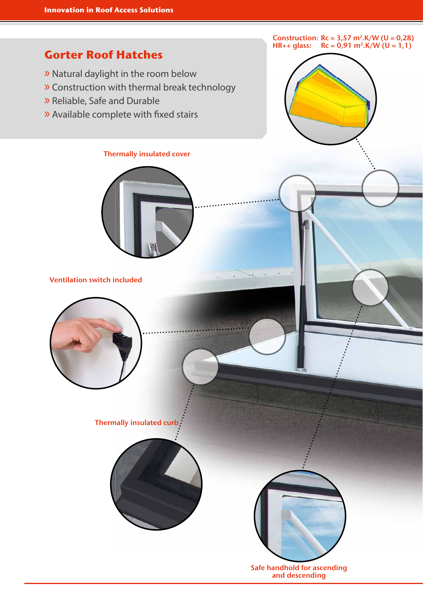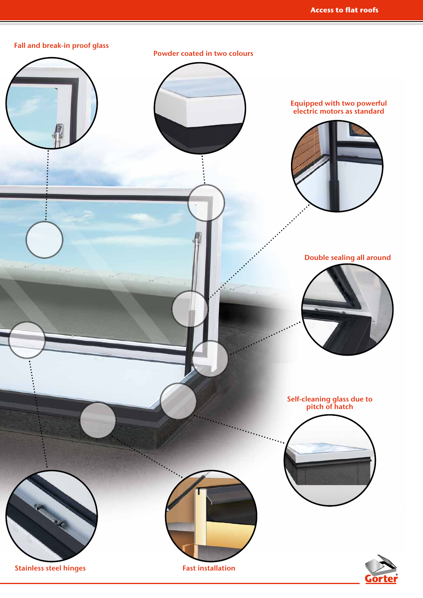